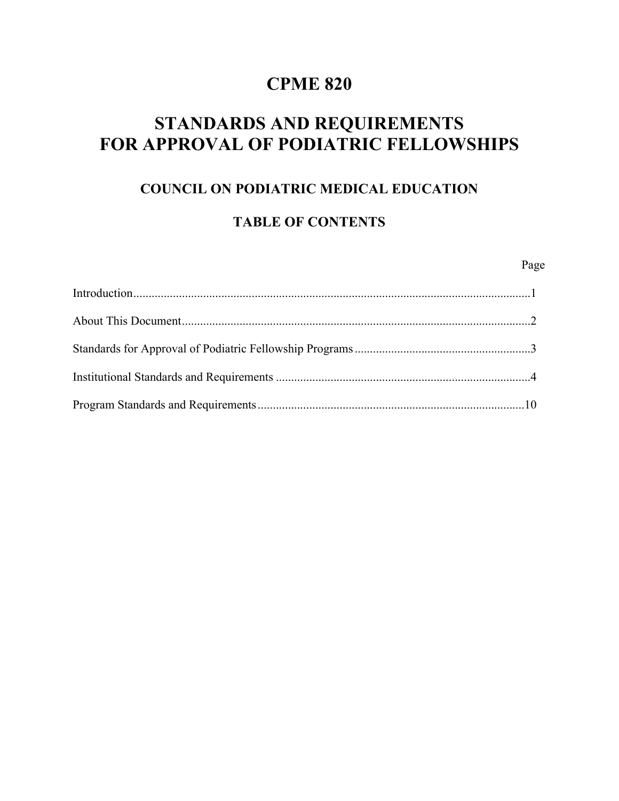# **CPME 820**

# **STANDARDS AND REQUIREMENTS FOR APPROVAL OF PODIATRIC FELLOWSHIPS**

## **COUNCIL ON PODIATRIC MEDICAL EDUCATION**

## **TABLE OF CONTENTS**

#### Page **Page**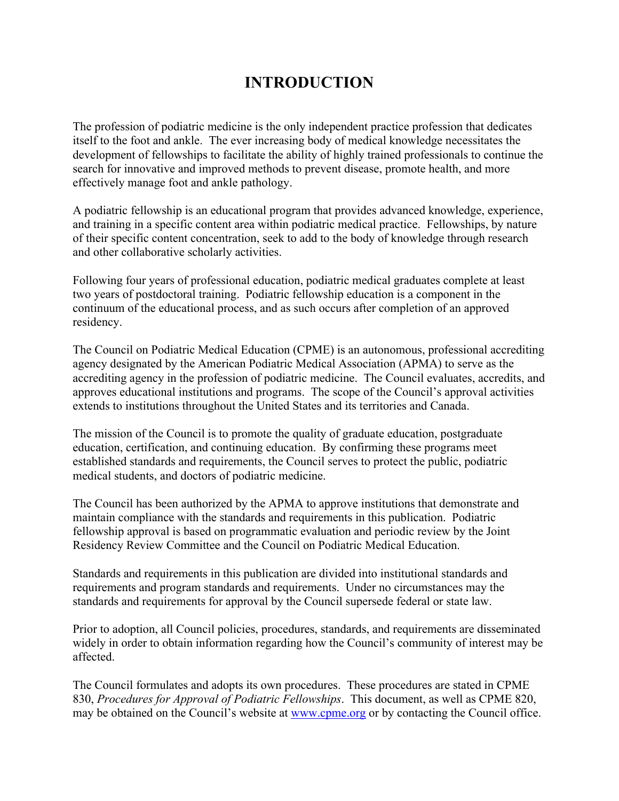# **INTRODUCTION**

The profession of podiatric medicine is the only independent practice profession that dedicates itself to the foot and ankle. The ever increasing body of medical knowledge necessitates the development of fellowships to facilitate the ability of highly trained professionals to continue the search for innovative and improved methods to prevent disease, promote health, and more effectively manage foot and ankle pathology.

A podiatric fellowship is an educational program that provides advanced knowledge, experience, and training in a specific content area within podiatric medical practice. Fellowships, by nature of their specific content concentration, seek to add to the body of knowledge through research and other collaborative scholarly activities.

Following four years of professional education, podiatric medical graduates complete at least two years of postdoctoral training. Podiatric fellowship education is a component in the continuum of the educational process, and as such occurs after completion of an approved residency.

The Council on Podiatric Medical Education (CPME) is an autonomous, professional accrediting agency designated by the American Podiatric Medical Association (APMA) to serve as the accrediting agency in the profession of podiatric medicine. The Council evaluates, accredits, and approves educational institutions and programs. The scope of the Council's approval activities extends to institutions throughout the United States and its territories and Canada.

The mission of the Council is to promote the quality of graduate education, postgraduate education, certification, and continuing education. By confirming these programs meet established standards and requirements, the Council serves to protect the public, podiatric medical students, and doctors of podiatric medicine.

The Council has been authorized by the APMA to approve institutions that demonstrate and maintain compliance with the standards and requirements in this publication. Podiatric fellowship approval is based on programmatic evaluation and periodic review by the Joint Residency Review Committee and the Council on Podiatric Medical Education.

Standards and requirements in this publication are divided into institutional standards and requirements and program standards and requirements. Under no circumstances may the standards and requirements for approval by the Council supersede federal or state law.

Prior to adoption, all Council policies, procedures, standards, and requirements are disseminated widely in order to obtain information regarding how the Council's community of interest may be affected.

The Council formulates and adopts its own procedures. These procedures are stated in CPME 830, *Procedures for Approval of Podiatric Fellowships*. This document, as well as CPME 820, may be obtained on the Council's website at [www.cpme.org](http://www.cpme.org/) or by contacting the Council office.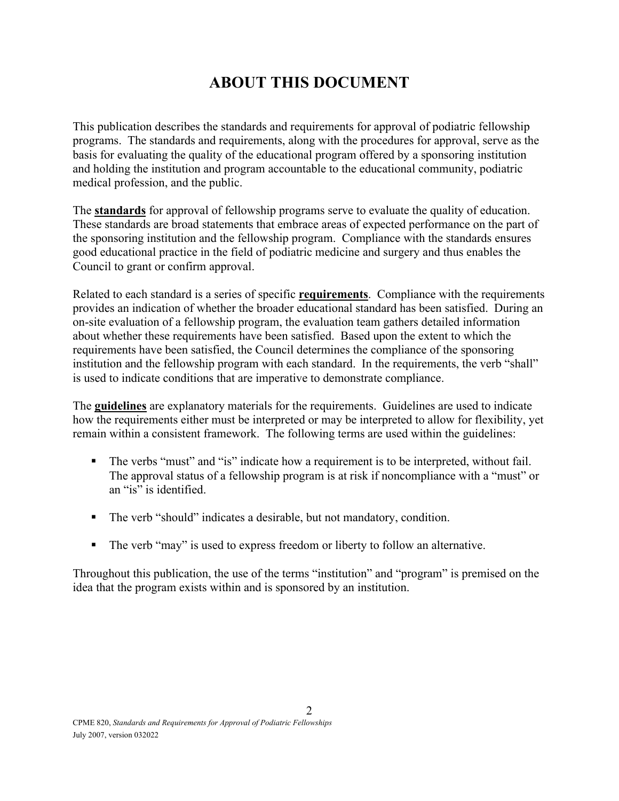# **ABOUT THIS DOCUMENT**

This publication describes the standards and requirements for approval of podiatric fellowship programs. The standards and requirements, along with the procedures for approval, serve as the basis for evaluating the quality of the educational program offered by a sponsoring institution and holding the institution and program accountable to the educational community, podiatric medical profession, and the public.

The **standards** for approval of fellowship programs serve to evaluate the quality of education. These standards are broad statements that embrace areas of expected performance on the part of the sponsoring institution and the fellowship program. Compliance with the standards ensures good educational practice in the field of podiatric medicine and surgery and thus enables the Council to grant or confirm approval.

Related to each standard is a series of specific **requirements**. Compliance with the requirements provides an indication of whether the broader educational standard has been satisfied. During an on-site evaluation of a fellowship program, the evaluation team gathers detailed information about whether these requirements have been satisfied. Based upon the extent to which the requirements have been satisfied, the Council determines the compliance of the sponsoring institution and the fellowship program with each standard. In the requirements, the verb "shall" is used to indicate conditions that are imperative to demonstrate compliance.

The **guidelines** are explanatory materials for the requirements. Guidelines are used to indicate how the requirements either must be interpreted or may be interpreted to allow for flexibility, yet remain within a consistent framework. The following terms are used within the guidelines:

- The verbs "must" and "is" indicate how a requirement is to be interpreted, without fail. The approval status of a fellowship program is at risk if noncompliance with a "must" or an "is" is identified.
- The verb "should" indicates a desirable, but not mandatory, condition.
- The verb "may" is used to express freedom or liberty to follow an alternative.

Throughout this publication, the use of the terms "institution" and "program" is premised on the idea that the program exists within and is sponsored by an institution.

 $\mathfrak{D}$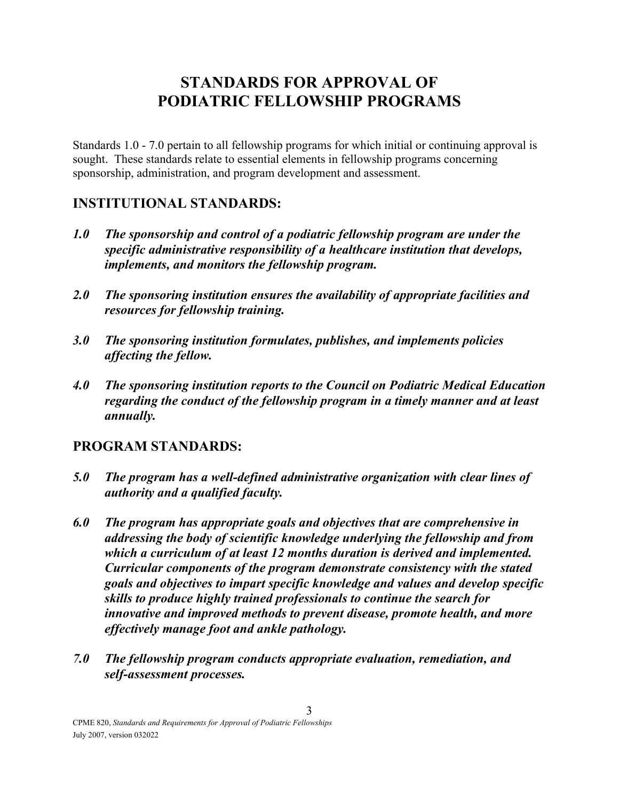# **STANDARDS FOR APPROVAL OF PODIATRIC FELLOWSHIP PROGRAMS**

Standards 1.0 - 7.0 pertain to all fellowship programs for which initial or continuing approval is sought. These standards relate to essential elements in fellowship programs concerning sponsorship, administration, and program development and assessment.

### **INSTITUTIONAL STANDARDS:**

- *1.0 The sponsorship and control of a podiatric fellowship program are under the specific administrative responsibility of a healthcare institution that develops, implements, and monitors the fellowship program.*
- *2.0 The sponsoring institution ensures the availability of appropriate facilities and resources for fellowship training.*
- *3.0 The sponsoring institution formulates, publishes, and implements policies affecting the fellow.*
- *4.0 The sponsoring institution reports to the Council on Podiatric Medical Education regarding the conduct of the fellowship program in a timely manner and at least annually.*

## **PROGRAM STANDARDS:**

- *5.0 The program has a well-defined administrative organization with clear lines of authority and a qualified faculty.*
- *6.0 The program has appropriate goals and objectives that are comprehensive in addressing the body of scientific knowledge underlying the fellowship and from which a curriculum of at least 12 months duration is derived and implemented. Curricular components of the program demonstrate consistency with the stated goals and objectives to impart specific knowledge and values and develop specific skills to produce highly trained professionals to continue the search for innovative and improved methods to prevent disease, promote health, and more effectively manage foot and ankle pathology.*
- *7.0 The fellowship program conducts appropriate evaluation, remediation, and self-assessment processes.*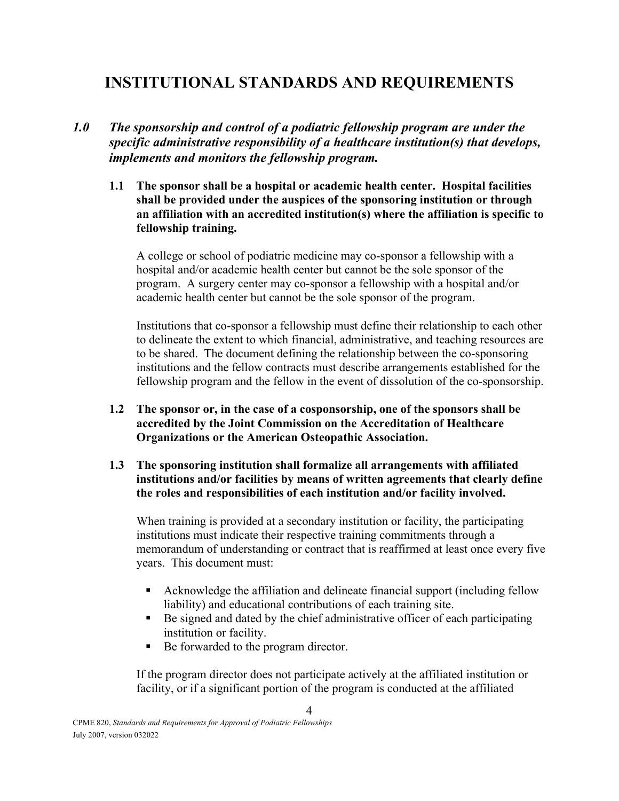# **INSTITUTIONAL STANDARDS AND REQUIREMENTS**

### *1.0 The sponsorship and control of a podiatric fellowship program are under the specific administrative responsibility of a healthcare institution(s) that develops, implements and monitors the fellowship program.*

**1.1 The sponsor shall be a hospital or academic health center. Hospital facilities shall be provided under the auspices of the sponsoring institution or through an affiliation with an accredited institution(s) where the affiliation is specific to fellowship training.** 

A college or school of podiatric medicine may co-sponsor a fellowship with a hospital and/or academic health center but cannot be the sole sponsor of the program. A surgery center may co-sponsor a fellowship with a hospital and/or academic health center but cannot be the sole sponsor of the program.

Institutions that co-sponsor a fellowship must define their relationship to each other to delineate the extent to which financial, administrative, and teaching resources are to be shared. The document defining the relationship between the co-sponsoring institutions and the fellow contracts must describe arrangements established for the fellowship program and the fellow in the event of dissolution of the co-sponsorship.

- **1.2 The sponsor or, in the case of a cosponsorship, one of the sponsors shall be accredited by the Joint Commission on the Accreditation of Healthcare Organizations or the American Osteopathic Association.**
- **1.3 The sponsoring institution shall formalize all arrangements with affiliated institutions and/or facilities by means of written agreements that clearly define the roles and responsibilities of each institution and/or facility involved.**

When training is provided at a secondary institution or facility, the participating institutions must indicate their respective training commitments through a memorandum of understanding or contract that is reaffirmed at least once every five years. This document must:

- Acknowledge the affiliation and delineate financial support (including fellow liability) and educational contributions of each training site.
- Be signed and dated by the chief administrative officer of each participating institution or facility.
- Be forwarded to the program director.

If the program director does not participate actively at the affiliated institution or facility, or if a significant portion of the program is conducted at the affiliated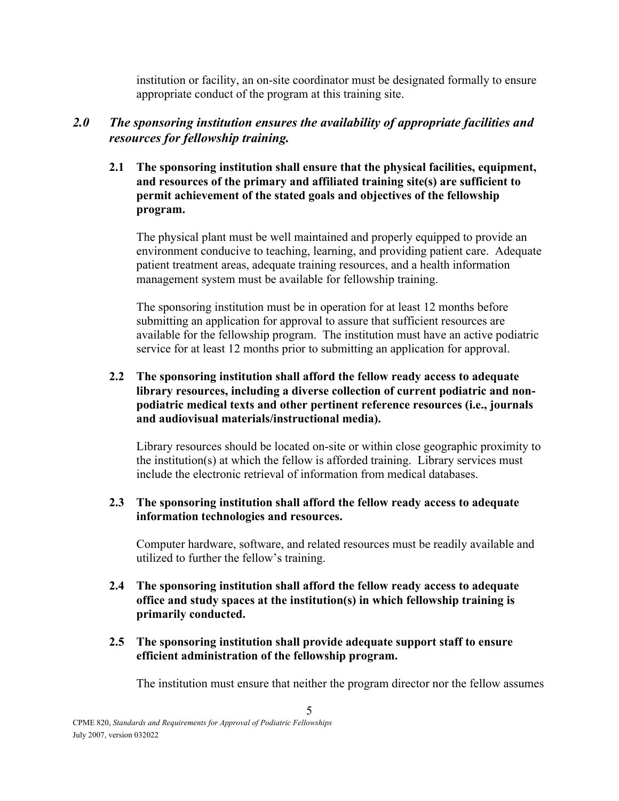institution or facility, an on-site coordinator must be designated formally to ensure appropriate conduct of the program at this training site.

### *2.0 The sponsoring institution ensures the availability of appropriate facilities and resources for fellowship training.*

**2.1 The sponsoring institution shall ensure that the physical facilities, equipment, and resources of the primary and affiliated training site(s) are sufficient to permit achievement of the stated goals and objectives of the fellowship program.**

The physical plant must be well maintained and properly equipped to provide an environment conducive to teaching, learning, and providing patient care. Adequate patient treatment areas, adequate training resources, and a health information management system must be available for fellowship training.

The sponsoring institution must be in operation for at least 12 months before submitting an application for approval to assure that sufficient resources are available for the fellowship program. The institution must have an active podiatric service for at least 12 months prior to submitting an application for approval.

#### **2.2 The sponsoring institution shall afford the fellow ready access to adequate library resources, including a diverse collection of current podiatric and nonpodiatric medical texts and other pertinent reference resources (i.e., journals and audiovisual materials/instructional media).**

Library resources should be located on-site or within close geographic proximity to the institution(s) at which the fellow is afforded training. Library services must include the electronic retrieval of information from medical databases.

#### **2.3 The sponsoring institution shall afford the fellow ready access to adequate information technologies and resources.**

Computer hardware, software, and related resources must be readily available and utilized to further the fellow's training.

- **2.4 The sponsoring institution shall afford the fellow ready access to adequate office and study spaces at the institution(s) in which fellowship training is primarily conducted.**
- **2.5 The sponsoring institution shall provide adequate support staff to ensure efficient administration of the fellowship program.**

5

The institution must ensure that neither the program director nor the fellow assumes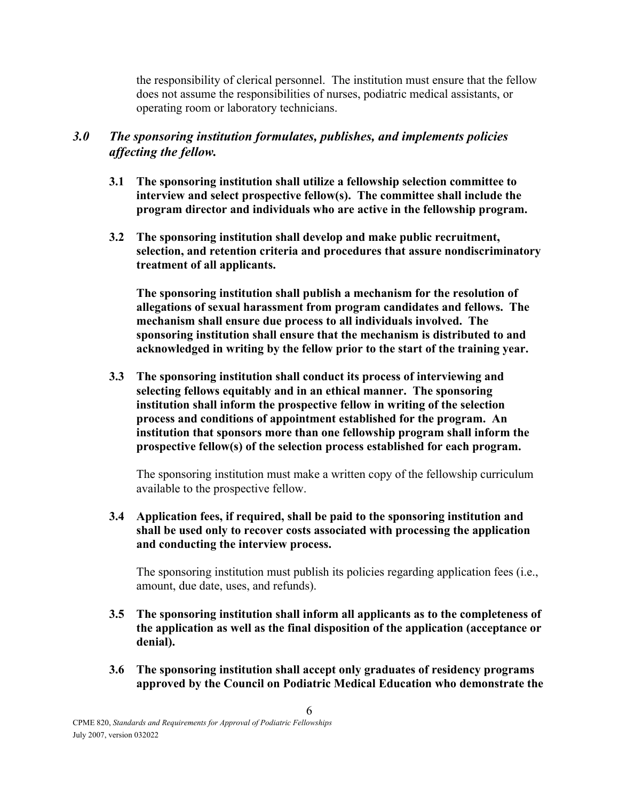the responsibility of clerical personnel. The institution must ensure that the fellow does not assume the responsibilities of nurses, podiatric medical assistants, or operating room or laboratory technicians.

### *3.0 The sponsoring institution formulates, publishes, and implements policies affecting the fellow.*

- **3.1 The sponsoring institution shall utilize a fellowship selection committee to interview and select prospective fellow(s). The committee shall include the program director and individuals who are active in the fellowship program.**
- **3.2 The sponsoring institution shall develop and make public recruitment, selection, and retention criteria and procedures that assure nondiscriminatory treatment of all applicants.**

**The sponsoring institution shall publish a mechanism for the resolution of allegations of sexual harassment from program candidates and fellows. The mechanism shall ensure due process to all individuals involved. The sponsoring institution shall ensure that the mechanism is distributed to and acknowledged in writing by the fellow prior to the start of the training year.**

**3.3 The sponsoring institution shall conduct its process of interviewing and selecting fellows equitably and in an ethical manner. The sponsoring institution shall inform the prospective fellow in writing of the selection process and conditions of appointment established for the program. An institution that sponsors more than one fellowship program shall inform the prospective fellow(s) of the selection process established for each program.**

The sponsoring institution must make a written copy of the fellowship curriculum available to the prospective fellow.

**3.4 Application fees, if required, shall be paid to the sponsoring institution and shall be used only to recover costs associated with processing the application and conducting the interview process.**

The sponsoring institution must publish its policies regarding application fees (i.e., amount, due date, uses, and refunds).

- **3.5 The sponsoring institution shall inform all applicants as to the completeness of the application as well as the final disposition of the application (acceptance or denial).**
- **3.6 The sponsoring institution shall accept only graduates of residency programs approved by the Council on Podiatric Medical Education who demonstrate the**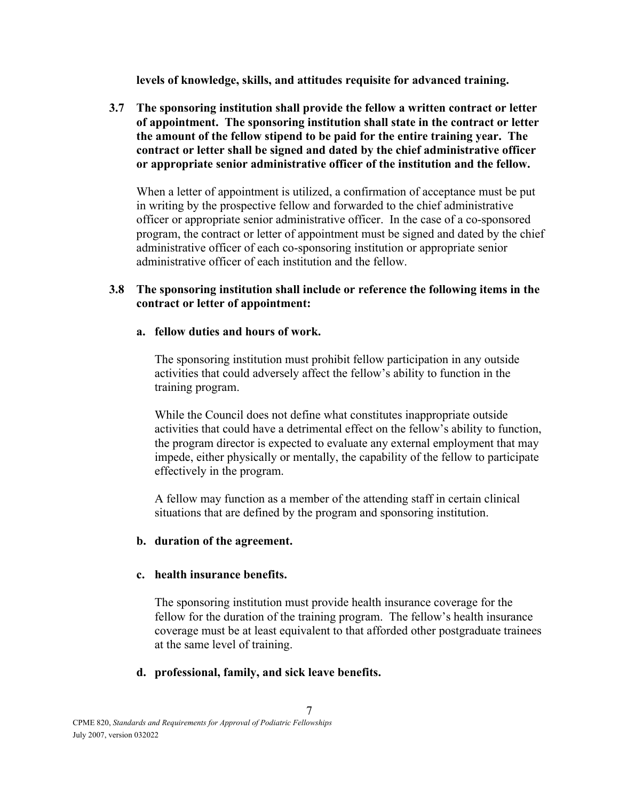**levels of knowledge, skills, and attitudes requisite for advanced training.**

**3.7 The sponsoring institution shall provide the fellow a written contract or letter of appointment. The sponsoring institution shall state in the contract or letter the amount of the fellow stipend to be paid for the entire training year. The contract or letter shall be signed and dated by the chief administrative officer or appropriate senior administrative officer of the institution and the fellow.** 

When a letter of appointment is utilized, a confirmation of acceptance must be put in writing by the prospective fellow and forwarded to the chief administrative officer or appropriate senior administrative officer. In the case of a co-sponsored program, the contract or letter of appointment must be signed and dated by the chief administrative officer of each co-sponsoring institution or appropriate senior administrative officer of each institution and the fellow.

#### **3.8 The sponsoring institution shall include or reference the following items in the contract or letter of appointment:**

#### **a. fellow duties and hours of work.**

The sponsoring institution must prohibit fellow participation in any outside activities that could adversely affect the fellow's ability to function in the training program.

While the Council does not define what constitutes inappropriate outside activities that could have a detrimental effect on the fellow's ability to function, the program director is expected to evaluate any external employment that may impede, either physically or mentally, the capability of the fellow to participate effectively in the program.

A fellow may function as a member of the attending staff in certain clinical situations that are defined by the program and sponsoring institution.

#### **b. duration of the agreement.**

#### **c. health insurance benefits.**

The sponsoring institution must provide health insurance coverage for the fellow for the duration of the training program. The fellow's health insurance coverage must be at least equivalent to that afforded other postgraduate trainees at the same level of training.

#### **d. professional, family, and sick leave benefits.**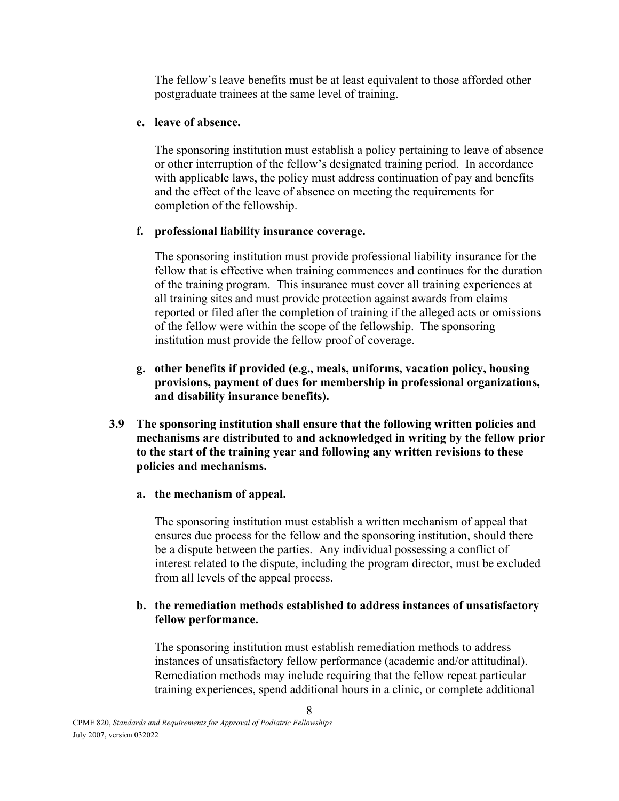The fellow's leave benefits must be at least equivalent to those afforded other postgraduate trainees at the same level of training.

#### **e. leave of absence.**

The sponsoring institution must establish a policy pertaining to leave of absence or other interruption of the fellow's designated training period. In accordance with applicable laws, the policy must address continuation of pay and benefits and the effect of the leave of absence on meeting the requirements for completion of the fellowship.

#### **f. professional liability insurance coverage.**

The sponsoring institution must provide professional liability insurance for the fellow that is effective when training commences and continues for the duration of the training program. This insurance must cover all training experiences at all training sites and must provide protection against awards from claims reported or filed after the completion of training if the alleged acts or omissions of the fellow were within the scope of the fellowship. The sponsoring institution must provide the fellow proof of coverage.

- **g. other benefits if provided (e.g., meals, uniforms, vacation policy, housing provisions, payment of dues for membership in professional organizations, and disability insurance benefits).**
- **3.9 The sponsoring institution shall ensure that the following written policies and mechanisms are distributed to and acknowledged in writing by the fellow prior to the start of the training year and following any written revisions to these policies and mechanisms.**
	- **a. the mechanism of appeal.**

The sponsoring institution must establish a written mechanism of appeal that ensures due process for the fellow and the sponsoring institution, should there be a dispute between the parties. Any individual possessing a conflict of interest related to the dispute, including the program director, must be excluded from all levels of the appeal process.

#### **b. the remediation methods established to address instances of unsatisfactory fellow performance.**

The sponsoring institution must establish remediation methods to address instances of unsatisfactory fellow performance (academic and/or attitudinal). Remediation methods may include requiring that the fellow repeat particular training experiences, spend additional hours in a clinic, or complete additional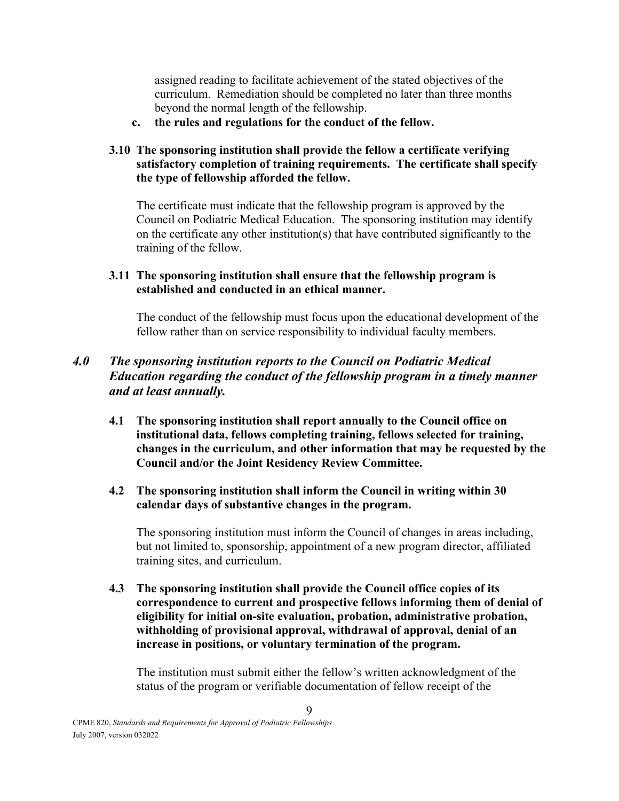assigned reading to facilitate achievement of the stated objectives of the curriculum. Remediation should be completed no later than three months beyond the normal length of the fellowship.

**c. the rules and regulations for the conduct of the fellow.**

#### **3.10 The sponsoring institution shall provide the fellow a certificate verifying satisfactory completion of training requirements. The certificate shall specify the type of fellowship afforded the fellow.**

The certificate must indicate that the fellowship program is approved by the Council on Podiatric Medical Education. The sponsoring institution may identify on the certificate any other institution(s) that have contributed significantly to the training of the fellow.

#### **3.11 The sponsoring institution shall ensure that the fellowship program is established and conducted in an ethical manner.**

The conduct of the fellowship must focus upon the educational development of the fellow rather than on service responsibility to individual faculty members.

### *4.0 The sponsoring institution reports to the Council on Podiatric Medical Education regarding the conduct of the fellowship program in a timely manner and at least annually.*

- **4.1 The sponsoring institution shall report annually to the Council office on institutional data, fellows completing training, fellows selected for training, changes in the curriculum, and other information that may be requested by the Council and/or the Joint Residency Review Committee.**
- **4.2 The sponsoring institution shall inform the Council in writing within 30 calendar days of substantive changes in the program.**

The sponsoring institution must inform the Council of changes in areas including, but not limited to, sponsorship, appointment of a new program director, affiliated training sites, and curriculum.

**4.3 The sponsoring institution shall provide the Council office copies of its correspondence to current and prospective fellows informing them of denial of eligibility for initial on-site evaluation, probation, administrative probation, withholding of provisional approval, withdrawal of approval, denial of an increase in positions, or voluntary termination of the program.**

The institution must submit either the fellow's written acknowledgment of the status of the program or verifiable documentation of fellow receipt of the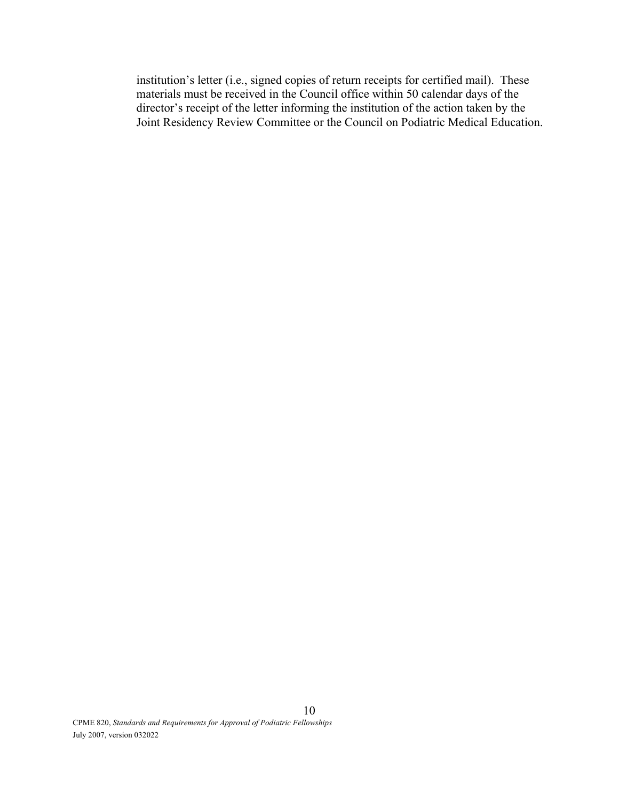institution's letter (i.e., signed copies of return receipts for certified mail). These materials must be received in the Council office within 50 calendar days of the director's receipt of the letter informing the institution of the action taken by the Joint Residency Review Committee or the Council on Podiatric Medical Education.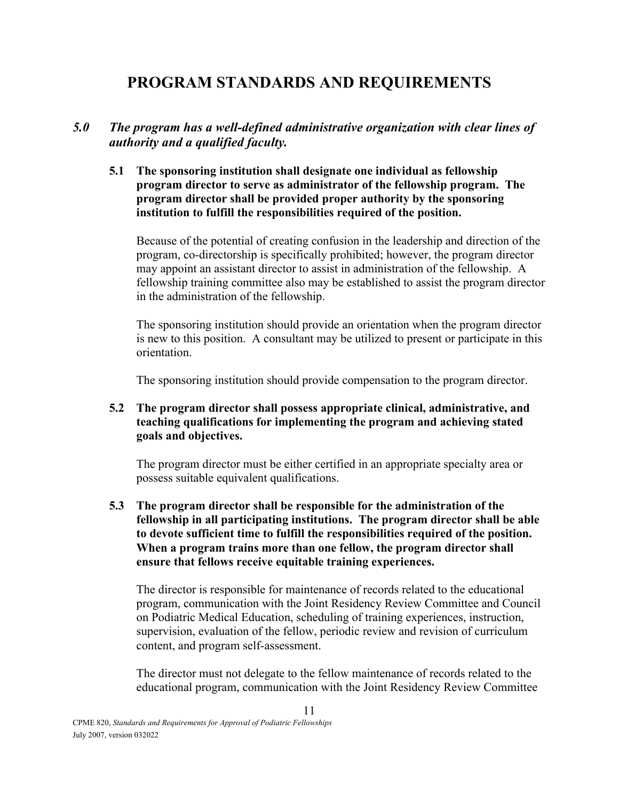# **PROGRAM STANDARDS AND REQUIREMENTS**

### *5.0 The program has a well-defined administrative organization with clear lines of authority and a qualified faculty.*

#### **5.1 The sponsoring institution shall designate one individual as fellowship program director to serve as administrator of the fellowship program. The program director shall be provided proper authority by the sponsoring institution to fulfill the responsibilities required of the position.**

Because of the potential of creating confusion in the leadership and direction of the program, co-directorship is specifically prohibited; however, the program director may appoint an assistant director to assist in administration of the fellowship. A fellowship training committee also may be established to assist the program director in the administration of the fellowship.

The sponsoring institution should provide an orientation when the program director is new to this position. A consultant may be utilized to present or participate in this orientation.

The sponsoring institution should provide compensation to the program director.

#### **5.2 The program director shall possess appropriate clinical, administrative, and teaching qualifications for implementing the program and achieving stated goals and objectives.**

The program director must be either certified in an appropriate specialty area or possess suitable equivalent qualifications.

**5.3 The program director shall be responsible for the administration of the fellowship in all participating institutions. The program director shall be able to devote sufficient time to fulfill the responsibilities required of the position. When a program trains more than one fellow, the program director shall ensure that fellows receive equitable training experiences.**

The director is responsible for maintenance of records related to the educational program, communication with the Joint Residency Review Committee and Council on Podiatric Medical Education, scheduling of training experiences, instruction, supervision, evaluation of the fellow, periodic review and revision of curriculum content, and program self-assessment.

The director must not delegate to the fellow maintenance of records related to the educational program, communication with the Joint Residency Review Committee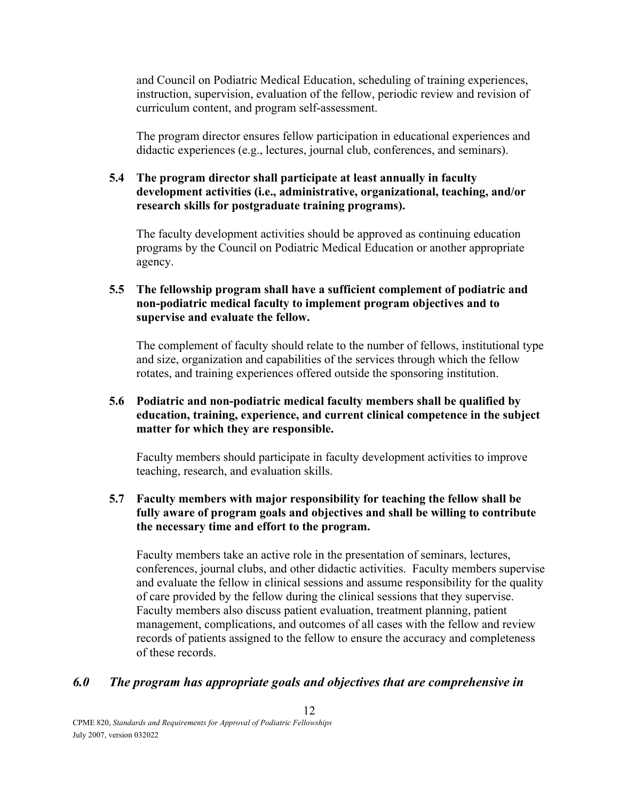and Council on Podiatric Medical Education, scheduling of training experiences, instruction, supervision, evaluation of the fellow, periodic review and revision of curriculum content, and program self-assessment.

The program director ensures fellow participation in educational experiences and didactic experiences (e.g., lectures, journal club, conferences, and seminars).

#### **5.4 The program director shall participate at least annually in faculty development activities (i.e., administrative, organizational, teaching, and/or research skills for postgraduate training programs).**

The faculty development activities should be approved as continuing education programs by the Council on Podiatric Medical Education or another appropriate agency.

#### **5.5 The fellowship program shall have a sufficient complement of podiatric and non-podiatric medical faculty to implement program objectives and to supervise and evaluate the fellow.**

The complement of faculty should relate to the number of fellows, institutional type and size, organization and capabilities of the services through which the fellow rotates, and training experiences offered outside the sponsoring institution.

#### **5.6 Podiatric and non-podiatric medical faculty members shall be qualified by education, training, experience, and current clinical competence in the subject matter for which they are responsible.**

Faculty members should participate in faculty development activities to improve teaching, research, and evaluation skills.

#### **5.7 Faculty members with major responsibility for teaching the fellow shall be fully aware of program goals and objectives and shall be willing to contribute the necessary time and effort to the program.**

Faculty members take an active role in the presentation of seminars, lectures, conferences, journal clubs, and other didactic activities. Faculty members supervise and evaluate the fellow in clinical sessions and assume responsibility for the quality of care provided by the fellow during the clinical sessions that they supervise. Faculty members also discuss patient evaluation, treatment planning, patient management, complications, and outcomes of all cases with the fellow and review records of patients assigned to the fellow to ensure the accuracy and completeness of these records.

#### *6.0 The program has appropriate goals and objectives that are comprehensive in*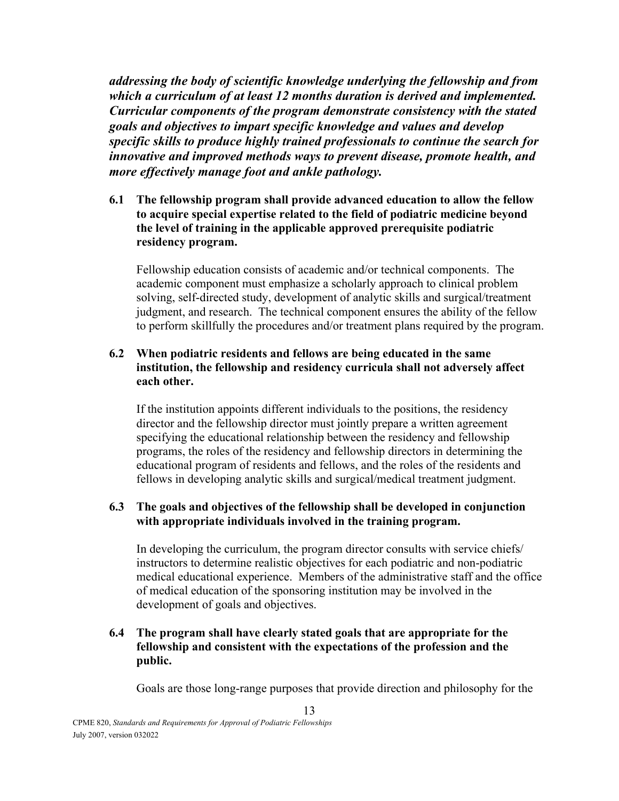*addressing the body of scientific knowledge underlying the fellowship and from which a curriculum of at least 12 months duration is derived and implemented. Curricular components of the program demonstrate consistency with the stated goals and objectives to impart specific knowledge and values and develop specific skills to produce highly trained professionals to continue the search for innovative and improved methods ways to prevent disease, promote health, and more effectively manage foot and ankle pathology.* 

**6.1 The fellowship program shall provide advanced education to allow the fellow to acquire special expertise related to the field of podiatric medicine beyond the level of training in the applicable approved prerequisite podiatric residency program.**

Fellowship education consists of academic and/or technical components. The academic component must emphasize a scholarly approach to clinical problem solving, self-directed study, development of analytic skills and surgical/treatment judgment, and research. The technical component ensures the ability of the fellow to perform skillfully the procedures and/or treatment plans required by the program.

#### **6.2 When podiatric residents and fellows are being educated in the same institution, the fellowship and residency curricula shall not adversely affect each other.**

If the institution appoints different individuals to the positions, the residency director and the fellowship director must jointly prepare a written agreement specifying the educational relationship between the residency and fellowship programs, the roles of the residency and fellowship directors in determining the educational program of residents and fellows, and the roles of the residents and fellows in developing analytic skills and surgical/medical treatment judgment.

#### **6.3 The goals and objectives of the fellowship shall be developed in conjunction with appropriate individuals involved in the training program.**

In developing the curriculum, the program director consults with service chiefs/ instructors to determine realistic objectives for each podiatric and non-podiatric medical educational experience. Members of the administrative staff and the office of medical education of the sponsoring institution may be involved in the development of goals and objectives.

#### **6.4 The program shall have clearly stated goals that are appropriate for the fellowship and consistent with the expectations of the profession and the public.**

13

Goals are those long-range purposes that provide direction and philosophy for the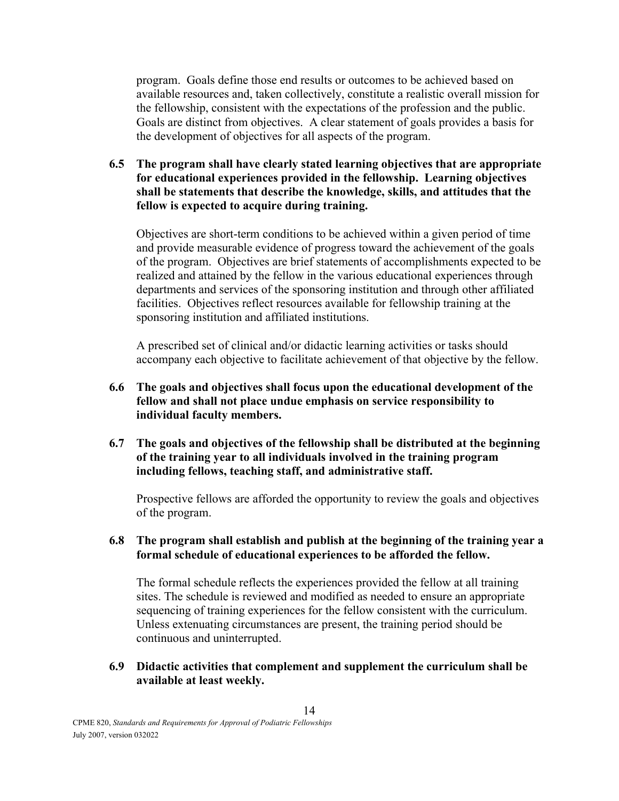program. Goals define those end results or outcomes to be achieved based on available resources and, taken collectively, constitute a realistic overall mission for the fellowship, consistent with the expectations of the profession and the public. Goals are distinct from objectives. A clear statement of goals provides a basis for the development of objectives for all aspects of the program.

**6.5 The program shall have clearly stated learning objectives that are appropriate for educational experiences provided in the fellowship. Learning objectives shall be statements that describe the knowledge, skills, and attitudes that the fellow is expected to acquire during training.**

Objectives are short-term conditions to be achieved within a given period of time and provide measurable evidence of progress toward the achievement of the goals of the program. Objectives are brief statements of accomplishments expected to be realized and attained by the fellow in the various educational experiences through departments and services of the sponsoring institution and through other affiliated facilities. Objectives reflect resources available for fellowship training at the sponsoring institution and affiliated institutions.

A prescribed set of clinical and/or didactic learning activities or tasks should accompany each objective to facilitate achievement of that objective by the fellow.

- **6.6 The goals and objectives shall focus upon the educational development of the fellow and shall not place undue emphasis on service responsibility to individual faculty members.**
- **6.7 The goals and objectives of the fellowship shall be distributed at the beginning of the training year to all individuals involved in the training program including fellows, teaching staff, and administrative staff.**

Prospective fellows are afforded the opportunity to review the goals and objectives of the program.

**6.8 The program shall establish and publish at the beginning of the training year a formal schedule of educational experiences to be afforded the fellow.**

The formal schedule reflects the experiences provided the fellow at all training sites. The schedule is reviewed and modified as needed to ensure an appropriate sequencing of training experiences for the fellow consistent with the curriculum. Unless extenuating circumstances are present, the training period should be continuous and uninterrupted.

**6.9 Didactic activities that complement and supplement the curriculum shall be available at least weekly.**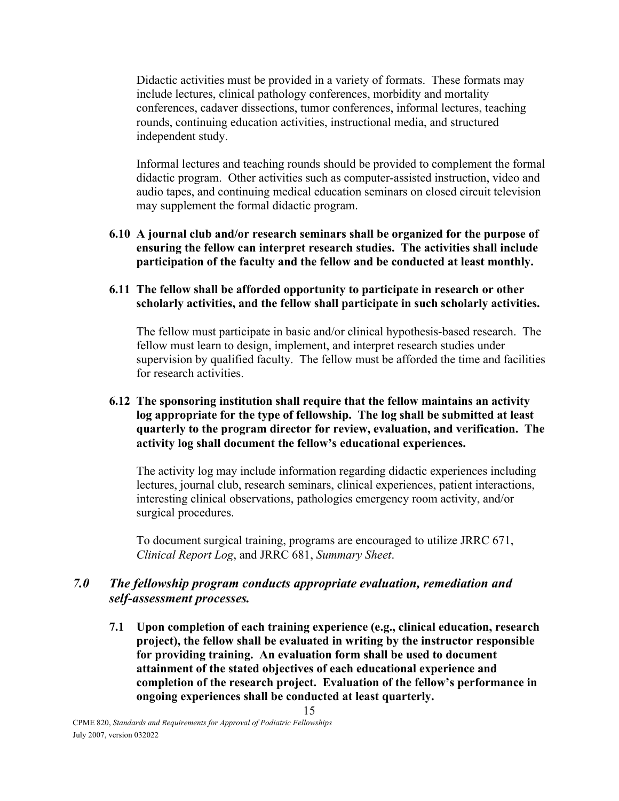Didactic activities must be provided in a variety of formats. These formats may include lectures, clinical pathology conferences, morbidity and mortality conferences, cadaver dissections, tumor conferences, informal lectures, teaching rounds, continuing education activities, instructional media, and structured independent study.

Informal lectures and teaching rounds should be provided to complement the formal didactic program. Other activities such as computer-assisted instruction, video and audio tapes, and continuing medical education seminars on closed circuit television may supplement the formal didactic program.

**6.10 A journal club and/or research seminars shall be organized for the purpose of ensuring the fellow can interpret research studies. The activities shall include participation of the faculty and the fellow and be conducted at least monthly.**

#### **6.11 The fellow shall be afforded opportunity to participate in research or other scholarly activities, and the fellow shall participate in such scholarly activities.**

The fellow must participate in basic and/or clinical hypothesis-based research. The fellow must learn to design, implement, and interpret research studies under supervision by qualified faculty. The fellow must be afforded the time and facilities for research activities.

#### **6.12 The sponsoring institution shall require that the fellow maintains an activity log appropriate for the type of fellowship. The log shall be submitted at least quarterly to the program director for review, evaluation, and verification. The activity log shall document the fellow's educational experiences.**

The activity log may include information regarding didactic experiences including lectures, journal club, research seminars, clinical experiences, patient interactions, interesting clinical observations, pathologies emergency room activity, and/or surgical procedures.

To document surgical training, programs are encouraged to utilize JRRC 671, *Clinical Report Log*, and JRRC 681, *Summary Sheet*.

### *7.0 The fellowship program conducts appropriate evaluation, remediation and self-assessment processes.*

**7.1 Upon completion of each training experience (e.g., clinical education, research project), the fellow shall be evaluated in writing by the instructor responsible for providing training. An evaluation form shall be used to document attainment of the stated objectives of each educational experience and completion of the research project. Evaluation of the fellow's performance in ongoing experiences shall be conducted at least quarterly.**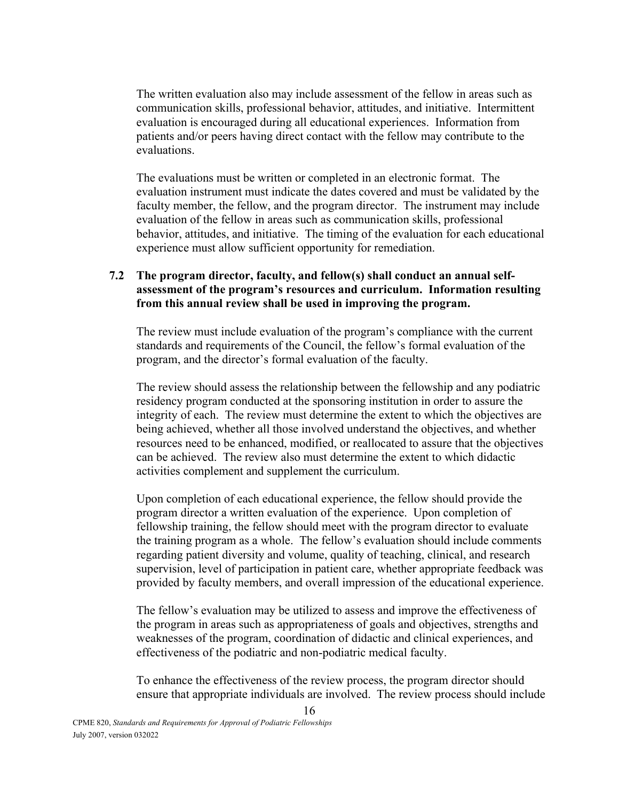The written evaluation also may include assessment of the fellow in areas such as communication skills, professional behavior, attitudes, and initiative. Intermittent evaluation is encouraged during all educational experiences. Information from patients and/or peers having direct contact with the fellow may contribute to the evaluations.

The evaluations must be written or completed in an electronic format. The evaluation instrument must indicate the dates covered and must be validated by the faculty member, the fellow, and the program director. The instrument may include evaluation of the fellow in areas such as communication skills, professional behavior, attitudes, and initiative. The timing of the evaluation for each educational experience must allow sufficient opportunity for remediation.

#### **7.2 The program director, faculty, and fellow(s) shall conduct an annual selfassessment of the program's resources and curriculum. Information resulting from this annual review shall be used in improving the program.**

The review must include evaluation of the program's compliance with the current standards and requirements of the Council, the fellow's formal evaluation of the program, and the director's formal evaluation of the faculty.

The review should assess the relationship between the fellowship and any podiatric residency program conducted at the sponsoring institution in order to assure the integrity of each. The review must determine the extent to which the objectives are being achieved, whether all those involved understand the objectives, and whether resources need to be enhanced, modified, or reallocated to assure that the objectives can be achieved. The review also must determine the extent to which didactic activities complement and supplement the curriculum.

Upon completion of each educational experience, the fellow should provide the program director a written evaluation of the experience. Upon completion of fellowship training, the fellow should meet with the program director to evaluate the training program as a whole. The fellow's evaluation should include comments regarding patient diversity and volume, quality of teaching, clinical, and research supervision, level of participation in patient care, whether appropriate feedback was provided by faculty members, and overall impression of the educational experience.

The fellow's evaluation may be utilized to assess and improve the effectiveness of the program in areas such as appropriateness of goals and objectives, strengths and weaknesses of the program, coordination of didactic and clinical experiences, and effectiveness of the podiatric and non-podiatric medical faculty.

To enhance the effectiveness of the review process, the program director should ensure that appropriate individuals are involved. The review process should include